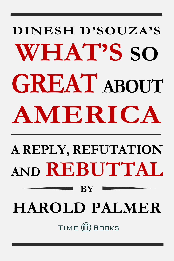# **DINESH D'SOUZA'S WHAT'S SO GREAT ABOUT AMERICA**

### **A REPLY, REFUTATION AND REBUTTAL**

## **HAROLD PALMER**

**BY**

TIME COBOOKS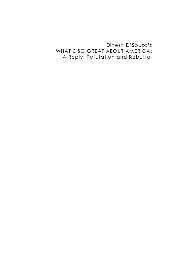### Dinesh D'Souza's WHAT'S SO GREAT ABOUT AMERICA: A Reply, Refutation and Rebuttal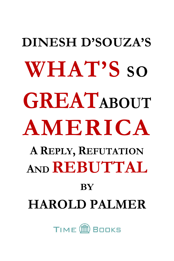## **DINESH D'SOUZA'S WHAT'S SO GREATABOUT AMERICA A REPLY, REFUTATION <sup>A</sup>ND REBUTTAL BY HAROLD PALMER**

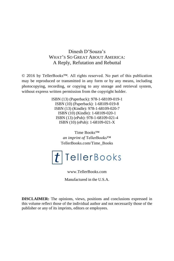#### Dinesh D'Souza's WHAT'S SO GREAT ABOUT AMERICA: A Reply, Refutation and Rebuttal

© 2016 by TellerBooks™. All rights reserved. No part of this publication may be reproduced or transmitted in any form or by any means, including photocopying, recording, or copying to any storage and retrieval system, without express written permission from the copyright holder.

> ISBN (13) (Paperback): 978-1-68109-019-1 ISBN (10) (Paperback): 1-68109-019-8 ISBN (13) (Kindle): 978-1-68109-020-7 ISBN (10) (Kindle): 1-68109-020-1 ISBN (13) (ePub): 978-1-68109-021-4 ISBN (10) (ePub): 1-68109-021-X

> > Time Books™ *an imprint of* TellerBooks™ TellerBooks.com/Time\_Books



www.TellerBooks.com

Manufactured in the U.S.A.

**DISCLAIMER:** The opinions, views, positions and conclusions expressed in this volume reflect those of the individual author and not necessarily those of the publisher or any of its imprints, editors or employees.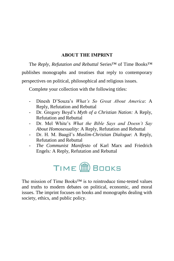#### **ABOUT THE IMPRINT**

<span id="page-5-0"></span>The *Reply, Refutation and Rebuttal* Series™ of Time Books™ publishes monographs and treatises that reply to contemporary perspectives on political, philosophical and religious issues.

Complete your collection with the following titles:

- Dinesh D'Souza's *What's So Great About America*: A Reply, Refutation and Rebuttal
- Dr. Gregory Boyd's *Myth of a Christian Nation:* A Reply, Refutation and Rebuttal
- Dr. Mel White's *What the Bible Says and Doesn't Say About Homosexuality*: A Reply, Refutation and Rebuttal
- Dr. H. M. Baagil's *Muslim-Christian Dialogue*: A Reply, Refutation and Rebuttal
- *The Communist Manifesto* of Karl Marx and Friedrich Engels*:* A Reply, Refutation and Rebuttal



The mission of Time Books™ is to reintroduce time-tested values and truths to modern debates on political, economic, and moral issues. The imprint focuses on books and monographs dealing with society, ethics, and public policy.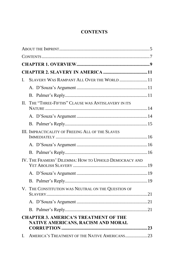### **CONTENTS**

<span id="page-7-0"></span>

| I. | SLAVERY WAS RAMPANT ALL OVER THE WORLD  11                                         |  |
|----|------------------------------------------------------------------------------------|--|
|    |                                                                                    |  |
|    |                                                                                    |  |
| H. | THE "THREE-FIFTHS" CLAUSE WAS ANTISLAVERY IN ITS                                   |  |
|    |                                                                                    |  |
|    |                                                                                    |  |
|    | III. IMPRACTICALITY OF FREEING ALL OF THE SLAVES                                   |  |
|    |                                                                                    |  |
|    |                                                                                    |  |
|    | IV. THE FRAMERS' DILEMMA: HOW TO UPHOLD DEMOCRACY AND                              |  |
|    |                                                                                    |  |
|    |                                                                                    |  |
|    | V. THE CONSTITUTION WAS NEUTRAL ON THE QUESTION OF                                 |  |
|    |                                                                                    |  |
|    |                                                                                    |  |
|    | <b>CHAPTER 3. AMERICA'S TREATMENT OF THE</b><br>NATIVE AMERICANS, RACISM AND MORAL |  |
|    |                                                                                    |  |
| L. | AMERICA'S TREATMENT OF THE NATIVE AMERICANS23                                      |  |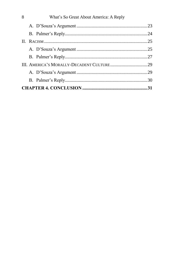| 8 | What's So Great About America: A Reply |  |
|---|----------------------------------------|--|
|   |                                        |  |
|   |                                        |  |
|   |                                        |  |
|   |                                        |  |
|   |                                        |  |
|   |                                        |  |
|   |                                        |  |
|   |                                        |  |
|   |                                        |  |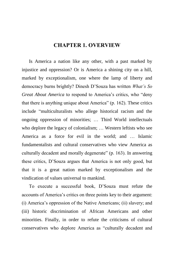### **CHAPTER 1. OVERVIEW**

<span id="page-9-0"></span>Is America a nation like any other, with a past marked by injustice and oppression? Or is America a shining city on a hill, marked by exceptionalism, one where the lamp of liberty and democracy burns brightly? Dinesh D'Souza has written *What's So Great About America* to respond to America's critics, who "deny that there is anything unique about America" (p. 162). These critics include "multiculturalists who allege historical racism and the ongoing oppression of minorities; … Third World intellectuals who deplore the legacy of colonialism; … Western leftists who see America as a force for evil in the world; and … Islamic fundamentalists and cultural conservatives who view America as culturally decadent and morally degenerate" (p. 163). In answering these critics, D'Souza argues that America is not only good, but that it is a great nation marked by exceptionalism and the vindication of values universal to mankind.

To execute a successful book, D'Souza must refute the accounts of America's critics on three points key to their argument: (i) America's oppression of the Native Americans; (ii) slavery; and (iii) historic discrimination of African Americans and other minorities. Finally, in order to refute the criticisms of cultural conservatives who deplore America as "culturally decadent and